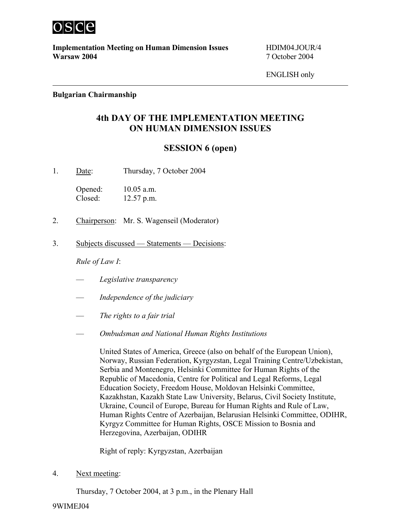

**Implementation Meeting on Human Dimension Issues** HDIM04.JOUR/4 **Warsaw 2004** 7 October 2004

ENGLISH only

### **Bulgarian Chairmanship**

# **4th DAY OF THE IMPLEMENTATION MEETING ON HUMAN DIMENSION ISSUES**

## **SESSION 6 (open)**

1. Date: Thursday, 7 October 2004

Opened: 10.05 a.m. Closed: 12.57 p.m.

- 2. Chairperson: Mr. S. Wagenseil (Moderator)
- 3. Subjects discussed Statements Decisions:

*Rule of Law I*:

- *Legislative transparency*
- *Independence of the judiciary*
- *The rights to a fair trial*
- *Ombudsman and National Human Rights Institutions*

United States of America, Greece (also on behalf of the European Union), Norway, Russian Federation, Kyrgyzstan, Legal Training Centre/Uzbekistan, Serbia and Montenegro, Helsinki Committee for Human Rights of the Republic of Macedonia, Centre for Political and Legal Reforms, Legal Education Society, Freedom House, Moldovan Helsinki Committee, Kazakhstan, Kazakh State Law University, Belarus, Civil Society Institute, Ukraine, Council of Europe, Bureau for Human Rights and Rule of Law, Human Rights Centre of Azerbaijan, Belarusian Helsinki Committee, ODIHR, Kyrgyz Committee for Human Rights, OSCE Mission to Bosnia and Herzegovina, Azerbaijan, ODIHR

Right of reply: Kyrgyzstan, Azerbaijan

4. Next meeting:

Thursday, 7 October 2004, at 3 p.m., in the Plenary Hall

### 9WIMEJ04